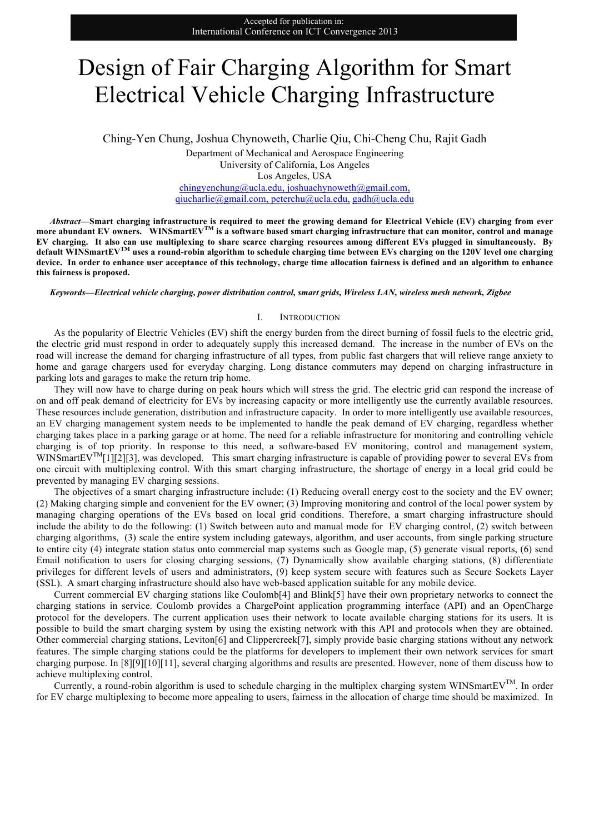# Design of Fair Charging Algorithm for Smart Electrical Vehicle Charging Infrastructure

Ching-Yen Chung, Joshua Chynoweth, Charlie Qiu, Chi-Cheng Chu, Rajit Gadh Department of Mechanical and Aerospace Engineering University of California, Los Angeles Los Angeles, USA chingyenchung@ucla.edu, joshuachynoweth@gmail.com, qiucharlie@gmail.com, peterchu@ucla.edu, gadh@ucla.edu

*Abstract***—Smart charging infrastructure is required to meet the growing demand for Electrical Vehicle (EV) charging from ever more abundant EV owners. WINSmartEVTM is a software based smart charging infrastructure that can monitor, control and manage EV charging. It also can use multiplexing to share scarce charging resources among different EVs plugged in simultaneously. By default WINSmartEVTM uses a round-robin algorithm to schedule charging time between EVs charging on the 120V level one charging device. In order to enhance user acceptance of this technology, charge time allocation fairness is defined and an algorithm to enhance this fairness is proposed.** 

*Keywords—Electrical vehicle charging, power distribution control, smart grids, Wireless LAN, wireless mesh network, Zigbee*

## I. INTRODUCTION

As the popularity of Electric Vehicles (EV) shift the energy burden from the direct burning of fossil fuels to the electric grid, the electric grid must respond in order to adequately supply this increased demand. The increase in the number of EVs on the road will increase the demand for charging infrastructure of all types, from public fast chargers that will relieve range anxiety to home and garage chargers used for everyday charging. Long distance commuters may depend on charging infrastructure in parking lots and garages to make the return trip home.

They will now have to charge during on peak hours which will stress the grid. The electric grid can respond the increase of on and off peak demand of electricity for EVs by increasing capacity or more intelligently use the currently available resources. These resources include generation, distribution and infrastructure capacity. In order to more intelligently use available resources, an EV charging management system needs to be implemented to handle the peak demand of EV charging, regardless whether charging takes place in a parking garage or at home. The need for a reliable infrastructure for monitoring and controlling vehicle charging is of top priority. In response to this need, a software-based EV monitoring, control and management system, WINSmartEVTM[1][2][3], was developed. This smart charging infrastructure is capable of providing power to several EVs from one circuit with multiplexing control. With this smart charging infrastructure, the shortage of energy in a local grid could be prevented by managing EV charging sessions.

The objectives of a smart charging infrastructure include: (1) Reducing overall energy cost to the society and the EV owner; (2) Making charging simple and convenient for the EV owner; (3) Improving monitoring and control of the local power system by managing charging operations of the EVs based on local grid conditions. Therefore, a smart charging infrastructure should include the ability to do the following: (1) Switch between auto and manual mode for EV charging control, (2) switch between charging algorithms, (3) scale the entire system including gateways, algorithm, and user accounts, from single parking structure to entire city (4) integrate station status onto commercial map systems such as Google map, (5) generate visual reports, (6) send Email notification to users for closing charging sessions, (7) Dynamically show available charging stations, (8) differentiate privileges for different levels of users and administrators, (9) keep system secure with features such as Secure Sockets Layer (SSL). A smart charging infrastructure should also have web-based application suitable for any mobile device.

Current commercial EV charging stations like Coulomb[4] and Blink[5] have their own proprietary networks to connect the charging stations in service. Coulomb provides a ChargePoint application programming interface (API) and an OpenCharge protocol for the developers. The current application uses their network to locate available charging stations for its users. It is possible to build the smart charging system by using the existing network with this API and protocols when they are obtained. Other commercial charging stations, Leviton[6] and Clippercreek[7], simply provide basic charging stations without any network features. The simple charging stations could be the platforms for developers to implement their own network services for smart charging purpose. In [8][9][10][11], several charging algorithms and results are presented. However, none of them discuss how to achieve multiplexing control.

Currently, a round-robin algorithm is used to schedule charging in the multiplex charging system WINSmartEV<sup>TM</sup>. In order for EV charge multiplexing to become more appealing to users, fairness in the allocation of charge time should be maximized. In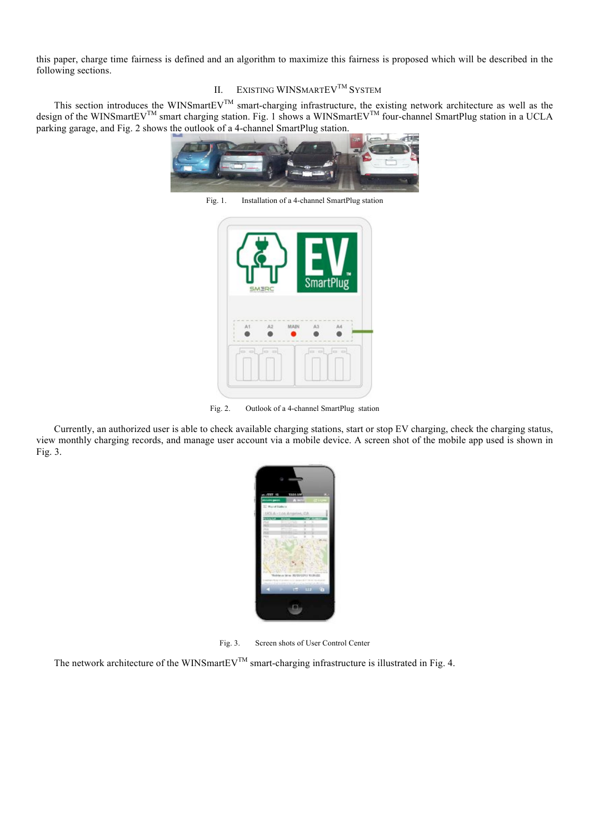this paper, charge time fairness is defined and an algorithm to maximize this fairness is proposed which will be described in the following sections.

II. EXISTING WINSMARTEV<sup>TM</sup> SYSTEM

This section introduces the WINSmartEV<sup>TM</sup> smart-charging infrastructure, the existing network architecture as well as the design of the WINSmartEV<sup>TM</sup> smart charging station. Fig. 1 shows a WINSmartEV<sup>TM</sup> four-channel SmartPlug station in a UCLA parking garage, and Fig. 2 shows the outlook of a 4-channel SmartPlug station.



Fig. 1. Installation of a 4-channel SmartPlug station

| SMERC                           |            |            | SmartPlug |
|---------------------------------|------------|------------|-----------|
| A1                              | MAIN<br>A2 | A3         | AA        |
| $\circ$ $\circ$ $\circ$ $\circ$ |            | in of form |           |
|                                 |            |            |           |

Fig. 2. Outlook of a 4-channel SmartPlug station

Currently, an authorized user is able to check available charging stations, start or stop EV charging, check the charging status, view monthly charging records, and manage user account via a mobile device. A screen shot of the mobile app used is shown in Fig. 3.



Fig. 3. Screen shots of User Control Center

The network architecture of the WINSmartEV<sup>TM</sup> smart-charging infrastructure is illustrated in Fig. 4.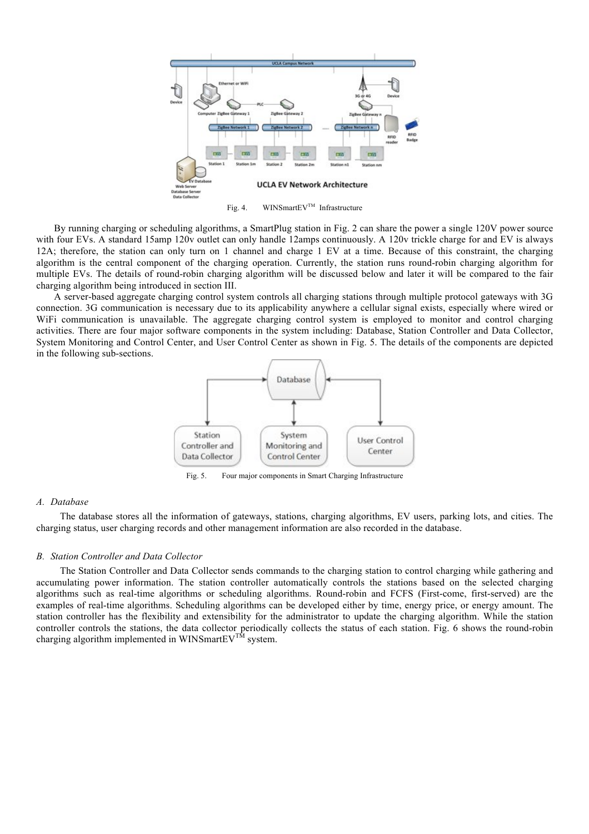

By running charging or scheduling algorithms, a SmartPlug station in Fig. 2 can share the power a single 120V power source with four EVs. A standard 15amp 120v outlet can only handle 12amps continuously. A 120v trickle charge for and EV is always 12A; therefore, the station can only turn on 1 channel and charge 1 EV at a time. Because of this constraint, the charging algorithm is the central component of the charging operation. Currently, the station runs round-robin charging algorithm for multiple EVs. The details of round-robin charging algorithm will be discussed below and later it will be compared to the fair charging algorithm being introduced in section III.

A server-based aggregate charging control system controls all charging stations through multiple protocol gateways with 3G connection. 3G communication is necessary due to its applicability anywhere a cellular signal exists, especially where wired or WiFi communication is unavailable. The aggregate charging control system is employed to monitor and control charging activities. There are four major software components in the system including: Database, Station Controller and Data Collector, System Monitoring and Control Center, and User Control Center as shown in Fig. 5. The details of the components are depicted in the following sub-sections.



Fig. 5. Four major components in Smart Charging Infrastructure

# *A. Database*

The database stores all the information of gateways, stations, charging algorithms, EV users, parking lots, and cities. The charging status, user charging records and other management information are also recorded in the database.

# *B. Station Controller and Data Collector*

The Station Controller and Data Collector sends commands to the charging station to control charging while gathering and accumulating power information. The station controller automatically controls the stations based on the selected charging algorithms such as real-time algorithms or scheduling algorithms. Round-robin and FCFS (First-come, first-served) are the examples of real-time algorithms. Scheduling algorithms can be developed either by time, energy price, or energy amount. The station controller has the flexibility and extensibility for the administrator to update the charging algorithm. While the station controller controls the stations, the data collector periodically collects the status of each station. Fig. 6 shows the round-robin charging algorithm implemented in WINSmart $EV^{T\hat{M}}$  system.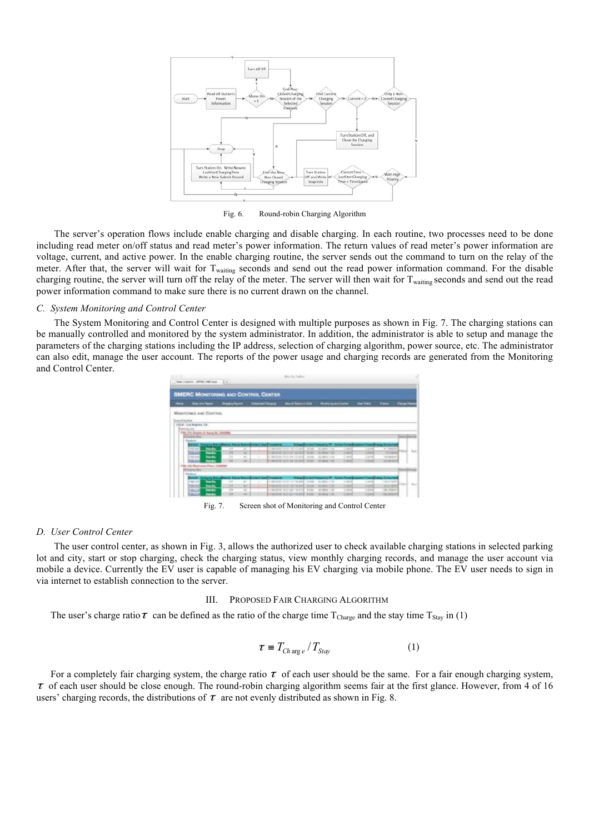

Fig. 6. Round-robin Charging Algorithm

The server's operation flows include enable charging and disable charging. In each routine, two processes need to be done including read meter on/off status and read meter's power information. The return values of read meter's power information are voltage, current, and active power. In the enable charging routine, the server sends out the command to turn on the relay of the meter. After that, the server will wait for  $T_{\text{waiting}}$  seconds and send out the read power information command. For the disable charging routine, the server will turn off the relay of the meter. The server will then wait for Twaiting seconds and send out the read power information command to make sure there is no current drawn on the channel.

#### *C. System Monitoring and Control Center*

The System Monitoring and Control Center is designed with multiple purposes as shown in Fig. 7. The charging stations can be manually controlled and monitored by the system administrator. In addition, the administrator is able to setup and manage the parameters of the charging stations including the IP address, selection of charging algorithm, power source, etc. The administrator can also edit, manage the user account. The reports of the power usage and charging records are generated from the Monitoring and Control Center.



Fig. 7. Screen shot of Monitoring and Control Center

#### *D. User Control Center*

The user control center, as shown in Fig. 3, allows the authorized user to check available charging stations in selected parking lot and city, start or stop charging, check the charging status, view monthly charging records, and manage the user account via mobile a device. Currently the EV user is capable of managing his EV charging via mobile phone. The EV user needs to sign in via internet to establish connection to the server.

#### III. PROPOSED FAIR CHARGING ALGORITHM

The user's charge ratio  $\tau$  can be defined as the ratio of the charge time T<sub>Charge</sub> and the stay time T<sub>Stay</sub> in (1)

$$
\tau = T_{Ch \arg e} / T_{Stay}
$$
 (1)

For a completely fair charging system, the charge ratio  $\tau$  of each user should be the same. For a fair enough charging system,  $\tau$  of each user should be close enough. The round-robin charging algorithm seems fair at the first glance. However, from 4 of 16 users' charging records, the distributions of  $\tau$  are not evenly distributed as shown in Fig. 8.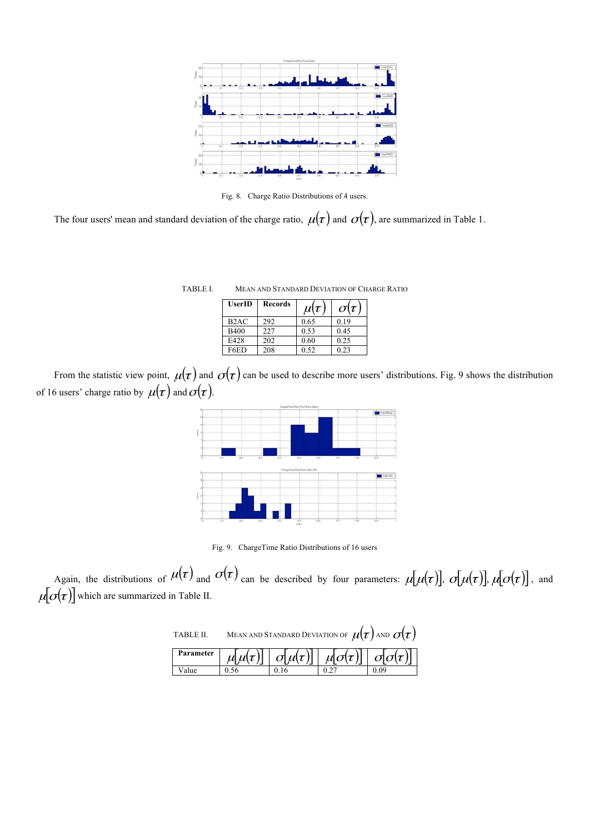

Fig. 8. Charge Ratio Distributions of 4 users.

The four users' mean and standard deviation of the charge ratio,  $\mu(\tau)$  and  $\sigma(\tau)$ , are summarized in Table 1.

**UserID Records**  $\mu(\tau)$   $\sigma(\tau)$ B<sub>2</sub>AC 292 0.65 0.19<br>B<sub>400</sub> 227 0.53 0.45 B<sub>400</sub> 227<br>E<sub>428</sub> 202 E428 202 0.60 0.25

F6ED 208 0.52 0.23

TABLE I. MEAN AND STANDARD DEVIATION OF CHARGE RATIO

From the statistic view point,  $\mu(\tau)$  and  $\sigma(\tau)$  can be used to describe more users' distributions. Fig. 9 shows the distribution of 16 users' charge ratio by  $\mu(\tau)$  and  $\sigma(\tau)$ .



Fig. 9. ChargeTime Ratio Distributions of 16 users

Again, the distributions of  $\mu(\tau)$  and  $\sigma(\tau)$  can be described by four parameters:  $\mu[\mu(\tau)]$ ,  $\sigma[\mu(\tau)]$ ,  $\mu[\sigma(\tau)]$ , and  $\mu[\sigma(\tau)]$  which are summarized in Table II.

| TABLE II. |                                                                                                |      | MEAN AND STANDARD DEVIATION OF $\mu(\tau)$ and $\sigma(\tau)$ |      |
|-----------|------------------------------------------------------------------------------------------------|------|---------------------------------------------------------------|------|
|           | Parameter $  \mu(\mu(\tau)     \sigma(\mu(\tau)     \mu(\sigma(\tau)     \sigma(\sigma(\tau))$ |      |                                                               |      |
| Value     | 0.56                                                                                           | 0.16 | 0.27                                                          | 0.09 |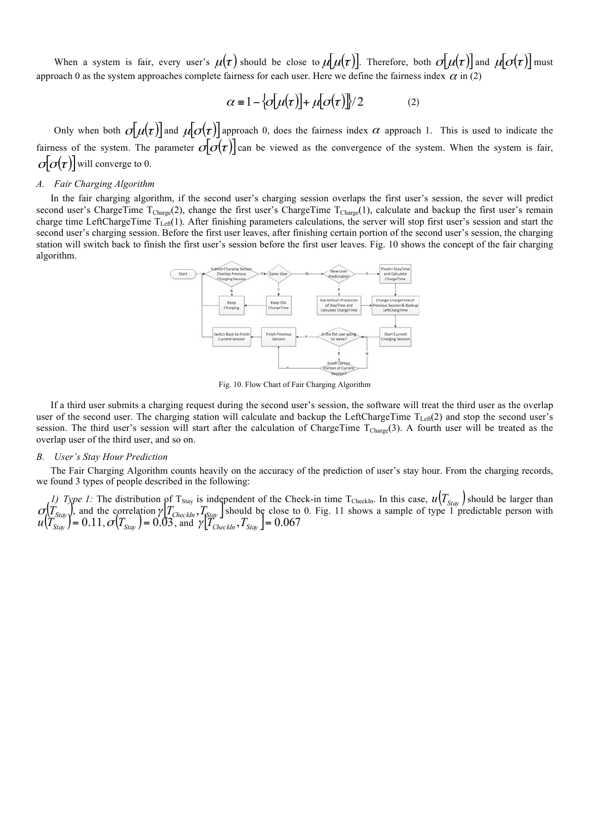When a system is fair, every user's  $\mu(\tau)$  should be close to  $\mu[\mu(\tau)]$ . Therefore, both  $\sigma[\mu(\tau)]$  and  $\mu[\sigma(\tau)]$  must approach 0 as the system approaches complete fairness for each user. Here we define the fairness index  $\alpha$  in (2)

$$
\alpha = 1 - \left\{ \sigma \left[ \mu(\tau) \right] + \mu \left[ \sigma(\tau) \right] \right\} / 2 \tag{2}
$$

Only when both  $\sigma[\mu(\tau)]$  and  $\mu[\sigma(\tau)]$  approach 0, does the fairness index  $\alpha$  approach 1. This is used to indicate the fairness of the system. The parameter  $\sigma[\sigma(\tau)]$  can be viewed as the convergence of the system. When the system is fair,  $\sigma[\sigma(\tau)]$  will converge to 0.

## *A. Fair Charging Algorithm*

In the fair charging algorithm, if the second user's charging session overlaps the first user's session, the sever will predict second user's ChargeTime T<sub>Charge</sub>(2), change the first user's ChargeTime T<sub>Charge</sub>(1), calculate and backup the first user's remain charge time LeftChargeTime  $T_{\text{Left}}(1)$ . After finishing parameters calculations, the server will stop first user's session and start the second user's charging session. Before the first user leaves, after finishing certain portion of the second user's session, the charging station will switch back to finish the first user's session before the first user leaves. Fig. 10 shows the concept of the fair charging algorithm.



Fig. 10. Flow Chart of Fair Charging Algorithm

If a third user submits a charging request during the second user's session, the software will treat the third user as the overlap user of the second user. The charging station will calculate and backup the LeftChargeTime T<sub>Left</sub>(2) and stop the second user's session. The third user's session will start after the calculation of ChargeTime T<sub>Charge</sub>(3). A fourth user will be treated as the overlap user of the third user, and so on.

#### *B. User's Stay Hour Prediction*

The Fair Charging Algorithm counts heavily on the accuracy of the prediction of user's stay hour. From the charging records, we found 3 types of people described in the following:

*I) Type 1:* The distribution of T<sub>Stay</sub> is independent of the Check-in time T<sub>CheckIn</sub>. In this case,  $u(T_{S_{IdV}})$  should be larger than  $\sigma(T_{S_{IdV}})$ , and the correlation  $\gamma(T_{CheckIn}, T_{S_{IdV}})$  should be close to 0. Fig. 1  $u(T_{Stay}^{SUS}) = 0.11, \sigma(T_{Stay}) = 0.03$ , and  $\gamma[T_{CheckIn}^{SUS}, T_{Stay}] = 0.067$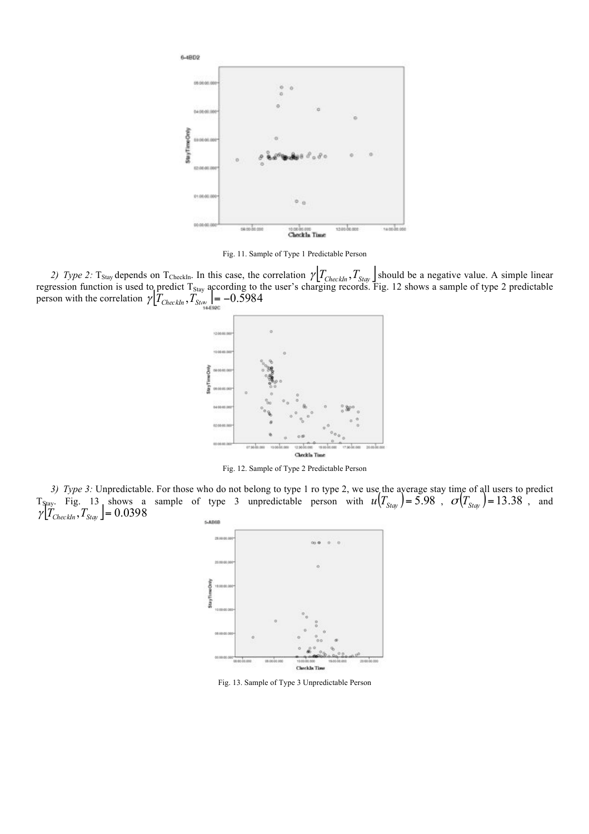

Fig. 11. Sample of Type 1 Predictable Person

*2) Type 2:* T<sub>Stay</sub> depends on T<sub>CheckIn</sub>. In this case, the correlation  $\gamma$   $T_{CheckIn}$ ,  $T_{Stay}$  should be a negative value. A simple linear regression function is used to predict  $T_{\text{Stay}}$  according to the user's charging records. Fig. 12 shows a sample of type 2 predictable person with the correlation  $\gamma$   $T_{\text{CheckIn}}$ ,  $T_{\text{Stm}}$   $= -0.5984$ 



Fig. 12. Sample of Type 2 Predictable Person

*3) Type 3:* Unpredictable. For those who do not belong to type 1 ro type 2, we use the average stay time of all users to predict  $T_{\text{Stay}}$ . Fig. 13 shows a sample of type 3 unpredictable person with  $u(T_{\text{Stay}}) = 5.98$ ,  $\sigma(T_{\text{Stay}}) = 13.38$ , and  $\gamma$ [ $T_{\text{CheckIn}}$ ,  $T_{\text{Stay}}$ ] = 0.0398



Fig. 13. Sample of Type 3 Unpredictable Person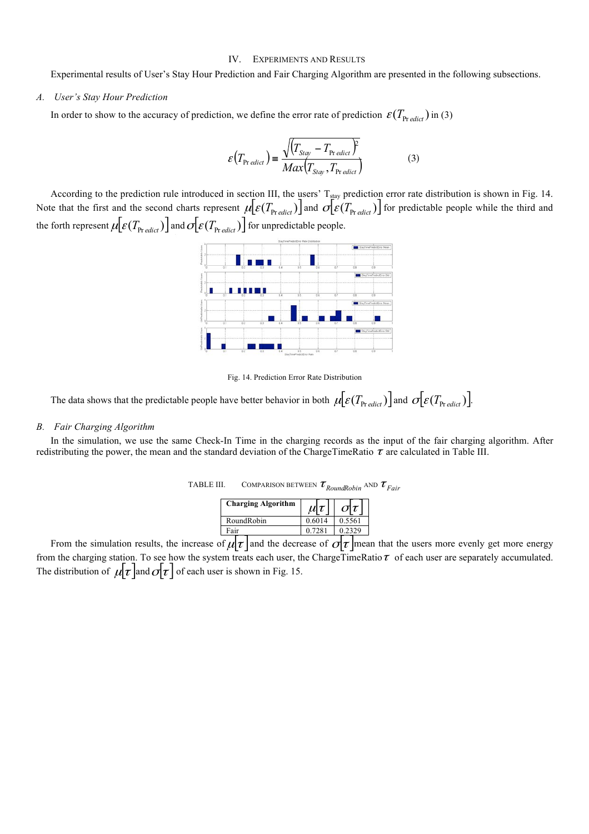# IV. EXPERIMENTS AND RESULTS

Experimental results of User's Stay Hour Prediction and Fair Charging Algorithm are presented in the following subsections.

## *A. User's Stay Hour Prediction*

In order to show to the accuracy of prediction, we define the error rate of prediction  $\varepsilon (T_{\text{Pr} \text{edict}})$  in (3)

$$
\varepsilon\left(T_{\text{Pr}\,edict}}\right) = \frac{\sqrt{\left(T_{\text{Stay}} - T_{\text{Pr}\,edict}}\right)^{2}}{Max\left(T_{\text{Stay}}, T_{\text{Pr}\,edict}}\right)}
$$
(3)

According to the prediction rule introduced in section III, the users'  $T_{stay}$  prediction error rate distribution is shown in Fig. 14. Note that the first and the second charts represent  $\mu \big[ \mathcal{E}(T_{\text{Pr}}_{edict}) \big]$  and  $\sigma \big[ \mathcal{E}(T_{\text{Pr}}_{edict}) \big]$  for predictable people while the third and the forth represent  $\mu[\varepsilon(T_{\text{Pr} editor})]$  and  $\sigma[\varepsilon(T_{\text{Pr} editor})]$  for unpredictable people.



Fig. 14. Prediction Error Rate Distribution

The data shows that the predictable people have better behavior in both  $\mu[\varepsilon(T_{\text{Pr} \text{ edict}})]$  and  $\sigma[\varepsilon(T_{\text{Pr} \text{ edict}})]$ 

# *B. Fair Charging Algorithm*

In the simulation, we use the same Check-In Time in the charging records as the input of the fair charging algorithm. After redistributing the power, the mean and the standard deviation of the ChargeTimeRatio  $\tau$  are calculated in Table III.

| <b>Charging Algorithm</b> | $\mu$   $\tau$ | $\sigma \tau$ |
|---------------------------|----------------|---------------|
| RoundRobin                | 0.6014         | 0.5561        |
| Fair                      | 0.7281         |               |

TABLE III. COMPARISON BETWEEN  $\tau_{\text{RoundRobin}}$  AND  $\tau_{\text{Fair}}$ 

From the simulation results, the increase of  $\mu[\tau]$  and the decrease of  $\sigma[\tau]$  mean that the users more evenly get more energy from the charging station. To see how the system treats each user, the ChargeTimeRatio $\tau$  of each user are separately accumulated. The distribution of  $\mu | \tau |$  and  $\sigma | \tau |$  of each user is shown in Fig. 15.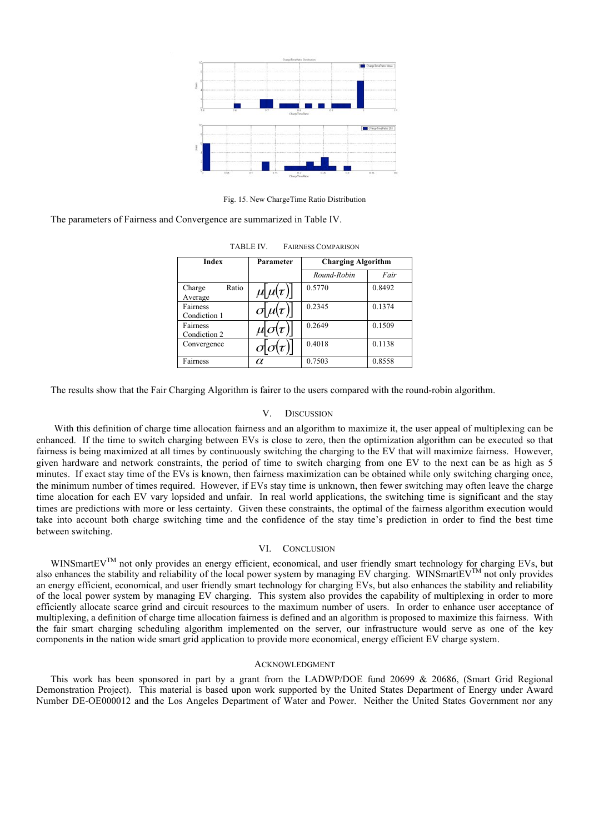

Fig. 15. New ChargeTime Ratio Distribution

The parameters of Fairness and Convergence are summarized in Table IV.

| Index                      | Parameter           | <b>Charging Algorithm</b> |        |  |  |  |
|----------------------------|---------------------|---------------------------|--------|--|--|--|
|                            |                     | Round-Robin               | Fair   |  |  |  |
| Ratio<br>Charge<br>Average | $\mu[\mu(\tau)]$    | 0.5770                    | 0.8492 |  |  |  |
| Fairness<br>Condiction 1   | $\sigma[\mu(\tau)]$ | 0.2345                    | 0.1374 |  |  |  |
| Fairness<br>Condiction 2   | $\mu \sigma(\tau) $ | 0.2649                    | 0.1509 |  |  |  |
| Convergence                | $\tau$ )<br>σ       | 0.4018                    | 0.1138 |  |  |  |
| Fairness                   | $\alpha$            | 0.7503                    | 0.8558 |  |  |  |

TABLE IV. FAIRNESS COMPARISON

The results show that the Fair Charging Algorithm is fairer to the users compared with the round-robin algorithm.

## V. DISCUSSION

With this definition of charge time allocation fairness and an algorithm to maximize it, the user appeal of multiplexing can be enhanced. If the time to switch charging between EVs is close to zero, then the optimization algorithm can be executed so that fairness is being maximized at all times by continuously switching the charging to the EV that will maximize fairness. However, given hardware and network constraints, the period of time to switch charging from one EV to the next can be as high as 5 minutes. If exact stay time of the EVs is known, then fairness maximization can be obtained while only switching charging once, the minimum number of times required. However, if EVs stay time is unknown, then fewer switching may often leave the charge time alocation for each EV vary lopsided and unfair. In real world applications, the switching time is significant and the stay times are predictions with more or less certainty. Given these constraints, the optimal of the fairness algorithm execution would take into account both charge switching time and the confidence of the stay time's prediction in order to find the best time between switching.

# VI. CONCLUSION

WINSmartEV<sup>TM</sup> not only provides an energy efficient, economical, and user friendly smart technology for charging EVs, but also enhances the stability and reliability of the local power system by managing EV charging. WINSmartEV<sup>TM</sup> not only provides an energy efficient, economical, and user friendly smart technology for charging EVs, but also enhances the stability and reliability of the local power system by managing EV charging. This system also provides the capability of multiplexing in order to more efficiently allocate scarce grind and circuit resources to the maximum number of users. In order to enhance user acceptance of multiplexing, a definition of charge time allocation fairness is defined and an algorithm is proposed to maximize this fairness. With the fair smart charging scheduling algorithm implemented on the server, our infrastructure would serve as one of the key components in the nation wide smart grid application to provide more economical, energy efficient EV charge system.

## ACKNOWLEDGMENT

This work has been sponsored in part by a grant from the LADWP/DOE fund 20699 & 20686, (Smart Grid Regional Demonstration Project). This material is based upon work supported by the United States Department of Energy under Award Number DE-OE000012 and the Los Angeles Department of Water and Power. Neither the United States Government nor any